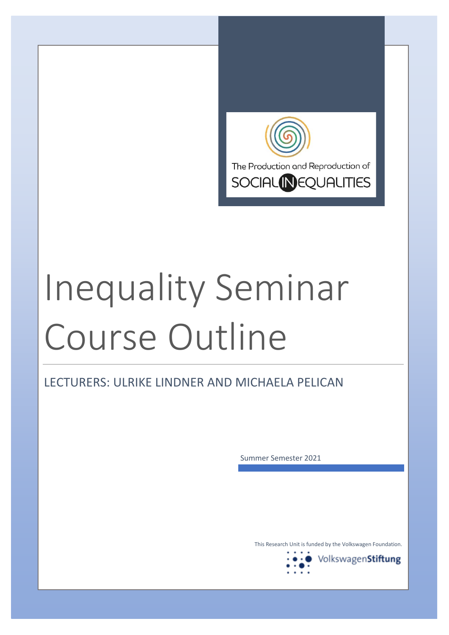

# Inequality Seminar Course Outline

LECTURERS: ULRIKE LINDNER AND MICHAELA PELICAN

Summer Semester 2021

This Research Unit is funded by the Volkswagen Foundation.

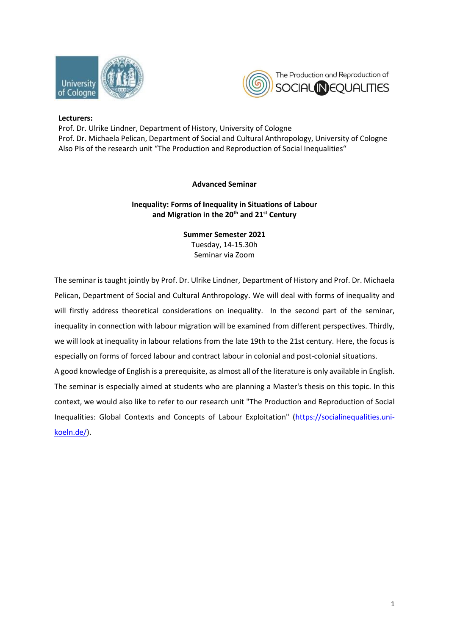



## **Lecturers:**

Prof. Dr. Ulrike Lindner, Department of History, University of Cologne Prof. Dr. Michaela Pelican, Department of Social and Cultural Anthropology, University of Cologne Also PIs of the research unit "The Production and Reproduction of Social Inequalities"

# **Advanced Seminar**

# **Inequality: Forms of Inequality in Situations of Labour and Migration in the 20th and 21st Century**

### **Summer Semester 2021**

Tuesday, 14-15.30h Seminar via Zoom

The seminar is taught jointly by Prof. Dr. Ulrike Lindner, Department of History and Prof. Dr. Michaela Pelican, Department of Social and Cultural Anthropology. We will deal with forms of inequality and will firstly address theoretical considerations on inequality. In the second part of the seminar, inequality in connection with labour migration will be examined from different perspectives. Thirdly, we will look at inequality in labour relations from the late 19th to the 21st century. Here, the focus is especially on forms of forced labour and contract labour in colonial and post-colonial situations.

A good knowledge of English is a prerequisite, as almost all of the literature is only available in English. The seminar is especially aimed at students who are planning a Master's thesis on this topic. In this context, we would also like to refer to our research unit "The Production and Reproduction of Social Inequalities: Global Contexts and Concepts of Labour Exploitation" [\(https://socialinequalities.uni](https://socialinequalities.uni-koeln.de/)[koeln.de/\)](https://socialinequalities.uni-koeln.de/).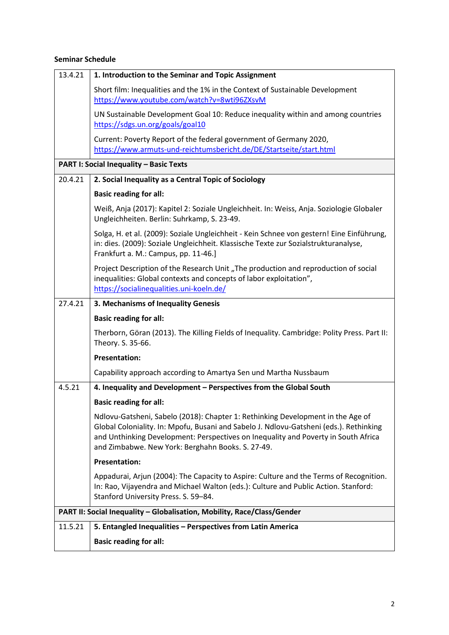# **Seminar Schedule**

| 13.4.21                                                                 | 1. Introduction to the Seminar and Topic Assignment                                                                                                                                                                                                                                                                  |  |  |
|-------------------------------------------------------------------------|----------------------------------------------------------------------------------------------------------------------------------------------------------------------------------------------------------------------------------------------------------------------------------------------------------------------|--|--|
|                                                                         | Short film: Inequalities and the 1% in the Context of Sustainable Development<br>https://www.youtube.com/watch?v=8wti96ZXsvM                                                                                                                                                                                         |  |  |
|                                                                         | UN Sustainable Development Goal 10: Reduce inequality within and among countries<br>https://sdgs.un.org/goals/goal10                                                                                                                                                                                                 |  |  |
|                                                                         | Current: Poverty Report of the federal government of Germany 2020,<br>https://www.armuts-und-reichtumsbericht.de/DE/Startseite/start.html                                                                                                                                                                            |  |  |
| <b>PART I: Social Inequality - Basic Texts</b>                          |                                                                                                                                                                                                                                                                                                                      |  |  |
| 20.4.21                                                                 | 2. Social Inequality as a Central Topic of Sociology                                                                                                                                                                                                                                                                 |  |  |
|                                                                         | <b>Basic reading for all:</b>                                                                                                                                                                                                                                                                                        |  |  |
|                                                                         | Weiß, Anja (2017): Kapitel 2: Soziale Ungleichheit. In: Weiss, Anja. Soziologie Globaler<br>Ungleichheiten. Berlin: Suhrkamp, S. 23-49.                                                                                                                                                                              |  |  |
|                                                                         | Solga, H. et al. (2009): Soziale Ungleichheit - Kein Schnee von gestern! Eine Einführung,<br>in: dies. (2009): Soziale Ungleichheit. Klassische Texte zur Sozialstrukturanalyse,<br>Frankfurt a. M.: Campus, pp. 11-46.]                                                                                             |  |  |
|                                                                         | Project Description of the Research Unit "The production and reproduction of social<br>inequalities: Global contexts and concepts of labor exploitation",<br>https://socialinequalities.uni-koeln.de/                                                                                                                |  |  |
| 27.4.21                                                                 | 3. Mechanisms of Inequality Genesis                                                                                                                                                                                                                                                                                  |  |  |
|                                                                         | <b>Basic reading for all:</b>                                                                                                                                                                                                                                                                                        |  |  |
|                                                                         | Therborn, Göran (2013). The Killing Fields of Inequality. Cambridge: Polity Press. Part II:<br>Theory. S. 35-66.                                                                                                                                                                                                     |  |  |
|                                                                         | <b>Presentation:</b>                                                                                                                                                                                                                                                                                                 |  |  |
|                                                                         | Capability approach according to Amartya Sen und Martha Nussbaum                                                                                                                                                                                                                                                     |  |  |
| 4.5.21                                                                  | 4. Inequality and Development - Perspectives from the Global South                                                                                                                                                                                                                                                   |  |  |
|                                                                         | <b>Basic reading for all:</b>                                                                                                                                                                                                                                                                                        |  |  |
|                                                                         | Ndlovu-Gatsheni, Sabelo (2018): Chapter 1: Rethinking Development in the Age of<br>Global Coloniality. In: Mpofu, Busani and Sabelo J. Ndlovu-Gatsheni (eds.). Rethinking<br>and Unthinking Development: Perspectives on Inequality and Poverty in South Africa<br>and Zimbabwe. New York: Berghahn Books. S. 27-49. |  |  |
|                                                                         | <b>Presentation:</b>                                                                                                                                                                                                                                                                                                 |  |  |
|                                                                         | Appadurai, Arjun (2004): The Capacity to Aspire: Culture and the Terms of Recognition.<br>In: Rao, Vijayendra and Michael Walton (eds.): Culture and Public Action. Stanford:<br>Stanford University Press. S. 59-84.                                                                                                |  |  |
| PART II: Social Inequality - Globalisation, Mobility, Race/Class/Gender |                                                                                                                                                                                                                                                                                                                      |  |  |
| 11.5.21                                                                 | 5. Entangled Inequalities - Perspectives from Latin America                                                                                                                                                                                                                                                          |  |  |
|                                                                         | <b>Basic reading for all:</b>                                                                                                                                                                                                                                                                                        |  |  |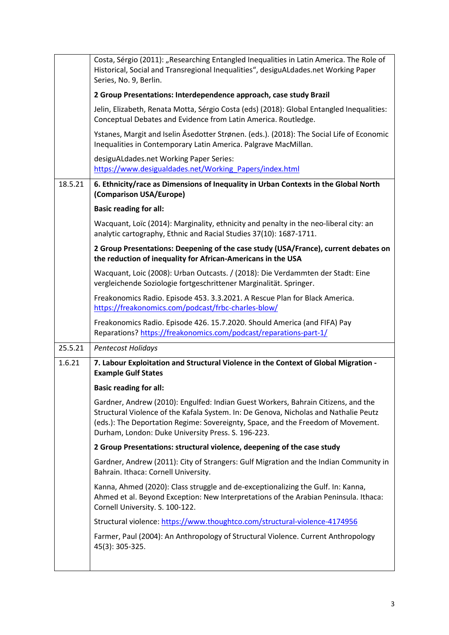|         | Costa, Sérgio (2011): "Researching Entangled Inequalities in Latin America. The Role of<br>Historical, Social and Transregional Inequalities", desiguALdades.net Working Paper<br>Series, No. 9, Berlin.                                                                                                            |
|---------|---------------------------------------------------------------------------------------------------------------------------------------------------------------------------------------------------------------------------------------------------------------------------------------------------------------------|
|         | 2 Group Presentations: Interdependence approach, case study Brazil                                                                                                                                                                                                                                                  |
|         | Jelin, Elizabeth, Renata Motta, Sérgio Costa (eds) (2018): Global Entangled Inequalities:<br>Conceptual Debates and Evidence from Latin America. Routledge.                                                                                                                                                         |
|         | Ystanes, Margit and Iselin Åsedotter Strønen. (eds.). (2018): The Social Life of Economic<br>Inequalities in Contemporary Latin America. Palgrave MacMillan.                                                                                                                                                        |
|         | desiguALdades.net Working Paper Series:<br>https://www.desigualdades.net/Working Papers/index.html                                                                                                                                                                                                                  |
| 18.5.21 | 6. Ethnicity/race as Dimensions of Inequality in Urban Contexts in the Global North<br>(Comparison USA/Europe)                                                                                                                                                                                                      |
|         | <b>Basic reading for all:</b>                                                                                                                                                                                                                                                                                       |
|         | Wacquant, Loïc (2014): Marginality, ethnicity and penalty in the neo-liberal city: an<br>analytic cartography, Ethnic and Racial Studies 37(10): 1687-1711.                                                                                                                                                         |
|         | 2 Group Presentations: Deepening of the case study (USA/France), current debates on<br>the reduction of inequality for African-Americans in the USA                                                                                                                                                                 |
|         | Wacquant, Loic (2008): Urban Outcasts. / (2018): Die Verdammten der Stadt: Eine<br>vergleichende Soziologie fortgeschrittener Marginalität. Springer.                                                                                                                                                               |
|         | Freakonomics Radio. Episode 453. 3.3.2021. A Rescue Plan for Black America.<br>https://freakonomics.com/podcast/frbc-charles-blow/                                                                                                                                                                                  |
|         | Freakonomics Radio. Episode 426. 15.7.2020. Should America (and FIFA) Pay<br>Reparations? https://freakonomics.com/podcast/reparations-part-1/                                                                                                                                                                      |
| 25.5.21 | Pentecost Holidays                                                                                                                                                                                                                                                                                                  |
| 1.6.21  | 7. Labour Exploitation and Structural Violence in the Context of Global Migration -<br><b>Example Gulf States</b>                                                                                                                                                                                                   |
|         | <b>Basic reading for all:</b>                                                                                                                                                                                                                                                                                       |
|         | Gardner, Andrew (2010): Engulfed: Indian Guest Workers, Bahrain Citizens, and the<br>Structural Violence of the Kafala System. In: De Genova, Nicholas and Nathalie Peutz<br>(eds.): The Deportation Regime: Sovereignty, Space, and the Freedom of Movement.<br>Durham, London: Duke University Press. S. 196-223. |
|         | 2 Group Presentations: structural violence, deepening of the case study                                                                                                                                                                                                                                             |
|         | Gardner, Andrew (2011): City of Strangers: Gulf Migration and the Indian Community in<br>Bahrain. Ithaca: Cornell University.                                                                                                                                                                                       |
|         | Kanna, Ahmed (2020): Class struggle and de-exceptionalizing the Gulf. In: Kanna,<br>Ahmed et al. Beyond Exception: New Interpretations of the Arabian Peninsula. Ithaca:<br>Cornell University. S. 100-122.                                                                                                         |
|         | Structural violence: https://www.thoughtco.com/structural-violence-4174956                                                                                                                                                                                                                                          |
|         | Farmer, Paul (2004): An Anthropology of Structural Violence. Current Anthropology<br>45(3): 305-325.                                                                                                                                                                                                                |
|         |                                                                                                                                                                                                                                                                                                                     |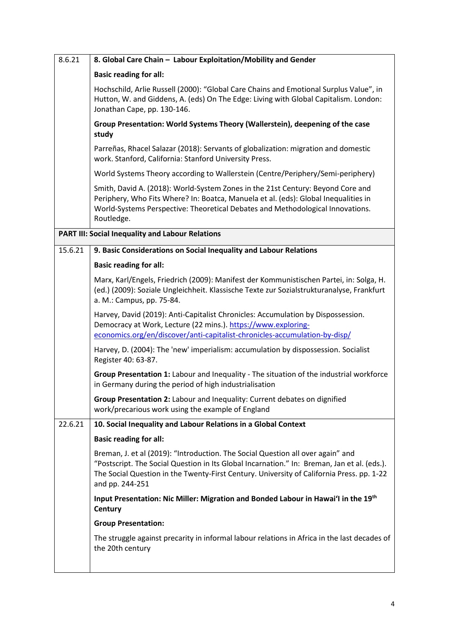| 8.6.21  | 8. Global Care Chain - Labour Exploitation/Mobility and Gender                                                                                                                                                                                                                                 |
|---------|------------------------------------------------------------------------------------------------------------------------------------------------------------------------------------------------------------------------------------------------------------------------------------------------|
|         | <b>Basic reading for all:</b>                                                                                                                                                                                                                                                                  |
|         | Hochschild, Arlie Russell (2000): "Global Care Chains and Emotional Surplus Value", in<br>Hutton, W. and Giddens, A. (eds) On The Edge: Living with Global Capitalism. London:<br>Jonathan Cape, pp. 130-146.                                                                                  |
|         | Group Presentation: World Systems Theory (Wallerstein), deepening of the case<br>study                                                                                                                                                                                                         |
|         | Parreñas, Rhacel Salazar (2018): Servants of globalization: migration and domestic<br>work. Stanford, California: Stanford University Press.                                                                                                                                                   |
|         | World Systems Theory according to Wallerstein (Centre/Periphery/Semi-periphery)                                                                                                                                                                                                                |
|         | Smith, David A. (2018): World-System Zones in the 21st Century: Beyond Core and<br>Periphery, Who Fits Where? In: Boatca, Manuela et al. (eds): Global Inequalities in<br>World-Systems Perspective: Theoretical Debates and Methodological Innovations.<br>Routledge.                         |
|         | <b>PART III: Social Inequality and Labour Relations</b>                                                                                                                                                                                                                                        |
| 15.6.21 | 9. Basic Considerations on Social Inequality and Labour Relations                                                                                                                                                                                                                              |
|         | <b>Basic reading for all:</b>                                                                                                                                                                                                                                                                  |
|         | Marx, Karl/Engels, Friedrich (2009): Manifest der Kommunistischen Partei, in: Solga, H.<br>(ed.) (2009): Soziale Ungleichheit. Klassische Texte zur Sozialstrukturanalyse, Frankfurt<br>a. M.: Campus, pp. 75-84.                                                                              |
|         | Harvey, David (2019): Anti-Capitalist Chronicles: Accumulation by Dispossession.<br>Democracy at Work, Lecture (22 mins.). https://www.exploring-<br>economics.org/en/discover/anti-capitalist-chronicles-accumulation-by-disp/                                                                |
|         | Harvey, D. (2004): The 'new' imperialism: accumulation by dispossession. Socialist<br>Register 40: 63-87.                                                                                                                                                                                      |
|         | Group Presentation 1: Labour and Inequality - The situation of the industrial workforce<br>in Germany during the period of high industrialisation                                                                                                                                              |
|         | Group Presentation 2: Labour and Inequality: Current debates on dignified<br>work/precarious work using the example of England                                                                                                                                                                 |
| 22.6.21 | 10. Social Inequality and Labour Relations in a Global Context                                                                                                                                                                                                                                 |
|         | <b>Basic reading for all:</b>                                                                                                                                                                                                                                                                  |
|         | Breman, J. et al (2019): "Introduction. The Social Question all over again" and<br>"Postscript. The Social Question in Its Global Incarnation." In: Breman, Jan et al. (eds.).<br>The Social Question in the Twenty-First Century. University of California Press. pp. 1-22<br>and pp. 244-251 |
|         | Input Presentation: Nic Miller: Migration and Bonded Labour in Hawai'l in the 19th<br>Century                                                                                                                                                                                                  |
|         | <b>Group Presentation:</b>                                                                                                                                                                                                                                                                     |
|         | The struggle against precarity in informal labour relations in Africa in the last decades of<br>the 20th century                                                                                                                                                                               |
|         |                                                                                                                                                                                                                                                                                                |